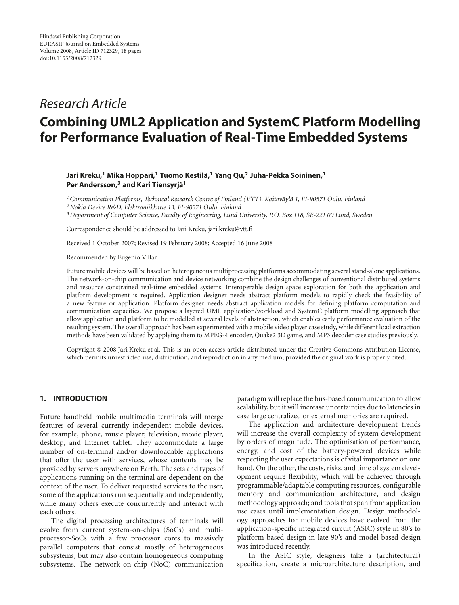# *Research Article*

# **Combining UML2 Application and SystemC Platform Modelling for Performance Evaluation of Real-Time Embedded Systems**

# **Jari Kreku,1 Mika Hoppari,1 Tuomo Kestila, ¨ <sup>1</sup> Yang Qu,2 Juha-Pekka Soininen,1 Per Andersson,3 and Kari Tiensyrja¨ <sup>1</sup>**

<sup>1</sup> Communication Platforms, Technical Research Centre of Finland (VTT), Kaitoväylä 1, FI-90571 Oulu, Finland *2Nokia Device R&D, Elektroniikkatie 13, FI-90571 Oulu, Finland*

*3Department of Computer Science, Faculty of Engineering, Lund University, P.O. Box 118, SE-221 00 Lund, Sweden*

Correspondence should be addressed to Jari Kreku, jari.kreku@vtt.fi

Received 1 October 2007; Revised 19 February 2008; Accepted 16 June 2008

Recommended by Eugenio Villar

Future mobile devices will be based on heterogeneous multiprocessing platforms accommodating several stand-alone applications. The network-on-chip communication and device networking combine the design challenges of conventional distributed systems and resource constrained real-time embedded systems. Interoperable design space exploration for both the application and platform development is required. Application designer needs abstract platform models to rapidly check the feasibility of a new feature or application. Platform designer needs abstract application models for defining platform computation and communication capacities. We propose a layered UML application/workload and SystemC platform modelling approach that allow application and platform to be modelled at several levels of abstraction, which enables early performance evaluation of the resulting system. The overall approach has been experimented with a mobile video player case study, while different load extraction methods have been validated by applying them to MPEG-4 encoder, Quake2 3D game, and MP3 decoder case studies previously.

Copyright © 2008 Jari Kreku et al. This is an open access article distributed under the Creative Commons Attribution License, which permits unrestricted use, distribution, and reproduction in any medium, provided the original work is properly cited.

# **1. INTRODUCTION**

Future handheld mobile multimedia terminals will merge features of several currently independent mobile devices, for example, phone, music player, television, movie player, desktop, and Internet tablet. They accommodate a large number of on-terminal and/or downloadable applications that offer the user with services, whose contents may be provided by servers anywhere on Earth. The sets and types of applications running on the terminal are dependent on the context of the user. To deliver requested services to the user, some of the applications run sequentially and independently, while many others execute concurrently and interact with each others.

The digital processing architectures of terminals will evolve from current system-on-chips (SoCs) and multiprocessor-SoCs with a few processor cores to massively parallel computers that consist mostly of heterogeneous subsystems, but may also contain homogeneous computing subsystems. The network-on-chip (NoC) communication paradigm will replace the bus-based communication to allow scalability, but it will increase uncertainties due to latencies in case large centralized or external memories are required.

The application and architecture development trends will increase the overall complexity of system development by orders of magnitude. The optimisation of performance, energy, and cost of the battery-powered devices while respecting the user expectations is of vital importance on one hand. On the other, the costs, risks, and time of system development require flexibility, which will be achieved through programmable/adaptable computing resources, configurable memory and communication architecture, and design methodology approach; and tools that span from application use cases until implementation design. Design methodology approaches for mobile devices have evolved from the application-specific integrated circuit (ASIC) style in 80's to platform-based design in late 90's and model-based design was introduced recently.

In the ASIC style, designers take a (architectural) specification, create a microarchitecture description, and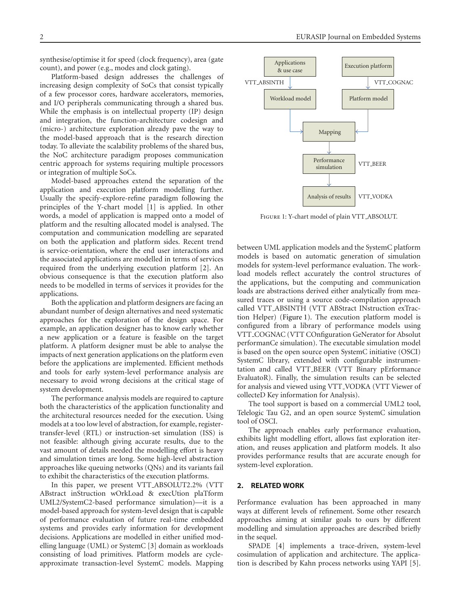synthesise/optimise it for speed (clock frequency), area (gate count), and power (e.g., modes and clock gating).

Platform-based design addresses the challenges of increasing design complexity of SoCs that consist typically of a few processor cores, hardware accelerators, memories, and I/O peripherals communicating through a shared bus. While the emphasis is on intellectual property (IP) design and integration, the function-architecture codesign and (micro-) architecture exploration already pave the way to the model-based approach that is the research direction today. To alleviate the scalability problems of the shared bus, the NoC architecture paradigm proposes communication centric approach for systems requiring multiple processors or integration of multiple SoCs.

Model-based approaches extend the separation of the application and execution platform modelling further. Usually the specify-explore-refine paradigm following the principles of the Y-chart model [1] is applied. In other words, a model of application is mapped onto a model of platform and the resulting allocated model is analysed. The computation and communication modelling are separated on both the application and platform sides. Recent trend is service-orientation, where the end user interactions and the associated applications are modelled in terms of services required from the underlying execution platform [2]. An obvious consequence is that the execution platform also needs to be modelled in terms of services it provides for the applications.

Both the application and platform designers are facing an abundant number of design alternatives and need systematic approaches for the exploration of the design space. For example, an application designer has to know early whether a new application or a feature is feasible on the target platform. A platform designer must be able to analyse the impacts of next generation applications on the platform even before the applications are implemented. Efficient methods and tools for early system-level performance analysis are necessary to avoid wrong decisions at the critical stage of system development.

The performance analysis models are required to capture both the characteristics of the application functionality and the architectural resources needed for the execution. Using models at a too low level of abstraction, for example, registertransfer-level (RTL) or instruction-set simulation (ISS) is not feasible: although giving accurate results, due to the vast amount of details needed the modelling effort is heavy and simulation times are long. Some high-level abstraction approaches like queuing networks (QNs) and its variants fail to exhibit the characteristics of the execution platforms.

In this paper, we present VTT ABSOLUT2.2% (VTT ABstract inStruction wOrkLoad & execUtion plaTform UML2/SystemC2-based performance simulation)—it is a model-based approach for system-level design that is capable of performance evaluation of future real-time embedded systems and provides early information for development decisions. Applications are modelled in either unified modelling language (UML) or SystemC [3] domain as workloads consisting of load primitives. Platform models are cycleapproximate transaction-level SystemC models. Mapping



Figure 1: Y-chart model of plain VTT ABSOLUT.

between UML application models and the SystemC platform models is based on automatic generation of simulation models for system-level performance evaluation. The workload models reflect accurately the control structures of the applications, but the computing and communication loads are abstractions derived either analytically from measured traces or using a source code-compilation approach called VTT ABSINTH (VTT ABStract INstruction exTraction Helper) (Figure 1). The execution platform model is configured from a library of performance models using VTT COGNAC (VTT COnfiguration GeNerator for Absolut performanCe simulation). The executable simulation model is based on the open source open SystemC initiative (OSCI) SystemC library, extended with configurable instrumentation and called VTT BEER (VTT Binary pErformance EvaluatoR). Finally, the simulation results can be selected for analysis and viewed using VTT<sub>-VODKA</sub> (VTT Viewer of collecteD Key information for Analysis).

The tool support is based on a commercial UML2 tool, Telelogic Tau G2, and an open source SystemC simulation tool of OSCI.

The approach enables early performance evaluation, exhibits light modelling effort, allows fast exploration iteration, and reuses application and platform models. It also provides performance results that are accurate enough for system-level exploration.

#### **2. RELATED WORK**

Performance evaluation has been approached in many ways at different levels of refinement. Some other research approaches aiming at similar goals to ours by different modelling and simulation approaches are described briefly in the sequel.

SPADE [4] implements a trace-driven, system-level cosimulation of application and architecture. The application is described by Kahn process networks using YAPI [5].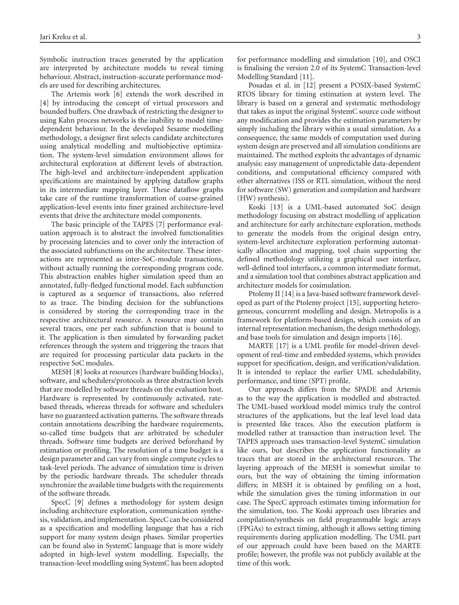Symbolic instruction traces generated by the application are interpreted by architecture models to reveal timing behaviour. Abstract, instruction-accurate performance models are used for describing architectures.

The Artemis work [6] extends the work described in [4] by introducing the concept of virtual processors and bounded buffers. One drawback of restricting the designer to using Kahn process networks is the inability to model timedependent behaviour. In the developed Sesame modelling methodology, a designer first selects candidate architectures using analytical modelling and multiobjective optimization. The system-level simulation environment allows for architectural exploration at different levels of abstraction. The high-level and architecture-independent application specifications are maintained by applying dataflow graphs in its intermediate mapping layer. These dataflow graphs take care of the runtime transformation of coarse-grained application-level events into finer grained architecture-level events that drive the architecture model components.

The basic principle of the TAPES [7] performance evaluation approach is to abstract the involved functionalities by processing latencies and to cover only the interaction of the associated subfunctions on the architecture. These interactions are represented as inter-SoC-module transactions, without actually running the corresponding program code. This abstraction enables higher simulation speed than an annotated, fully-fledged functional model. Each subfunction is captured as a sequence of transactions, also referred to as trace. The binding decision for the subfunctions is considered by storing the corresponding trace in the respective architectural resource. A resource may contain several traces, one per each subfunction that is bound to it. The application is then simulated by forwarding packet references through the system and triggering the traces that are required for processing particular data packets in the respective SoC modules.

MESH [8] looks at resources (hardware building blocks), software, and schedulers/protocols as three abstraction levels that are modelled by software threads on the evaluation host. Hardware is represented by continuously activated, ratebased threads, whereas threads for software and schedulers have no guaranteed activation patterns. The software threads contain annotations describing the hardware requirements, so-called time budgets that are arbitrated by scheduler threads. Software time budgets are derived beforehand by estimation or profiling. The resolution of a time budget is a design parameter and can vary from single compute cycles to task-level periods. The advance of simulation time is driven by the periodic hardware threads. The scheduler threads synchronize the available time budgets with the requirements of the software threads.

SpecC [9] defines a methodology for system design including architecture exploration, communication synthesis, validation, and implementation. SpecC can be considered as a specification and modelling language that has a rich support for many system design phases. Similar properties can be found also in SystemC language that is more widely adopted in high-level system modelling. Especially, the transaction-level modelling using SystemC has been adopted for performance modelling and simulation [10], and OSCI is finalising the version 2.0 of its SystemC Transaction-level Modelling Standard [11].

Posadas et al. in [12] present a POSIX-based SystemC RTOS library for timing estimation at system level. The library is based on a general and systematic methodology that takes as input the original SystemC source code without any modification and provides the estimation parameters by simply including the library within a usual simulation. As a consequence, the same models of computation used during system design are preserved and all simulation conditions are maintained. The method exploits the advantages of dynamic analysis: easy management of unpredictable data-dependent conditions, and computational efficiency compared with other alternatives (ISS or RTL simulation, without the need for software (SW) generation and compilation and hardware (HW) synthesis).

Koski [13] is a UML-based automated SoC design methodology focusing on abstract modelling of application and architecture for early architecture exploration, methods to generate the models from the original design entry, system-level architecture exploration performing automatically allocation and mapping, tool chain supporting the defined methodology utilizing a graphical user interface, well-defined tool interfaces, a common intermediate format, and a simulation tool that combines abstract application and architecture models for cosimulation.

Ptolemy II [14] is a Java-based software framework developed as part of the Ptolemy project [15], supporting heterogeneous, concurrent modelling and design. Metropolis is a framework for platform-based design, which consists of an internal representation mechanism, the design methodology, and base tools for simulation and design imports [16].

MARTE [17] is a UML profile for model-driven development of real-time and embedded systems, which provides support for specification, design, and verification/validation. It is intended to replace the earlier UML schedulability, performance, and time (SPT) profile.

Our approach differs from the SPADE and Artemis as to the way the application is modelled and abstracted. The UML-based workload model mimics truly the control structures of the applications, but the leaf level load data is presented like traces. Also the execution platform is modelled rather at transaction than instruction level. The TAPES approach uses transaction-level SystemC simulation like ours, but describes the application functionality as traces that are stored in the architectural resources. The layering approach of the MESH is somewhat similar to ours, but the way of obtaining the timing information differs; in MESH it is obtained by profiling on a host, while the simulation gives the timing information in our case. The SpecC approach estimates timing information for the simulation, too. The Koski approach uses libraries and compilation/synthesis on field programmable logic arrays (FPGAs) to extract timing, although it allows setting timing requirements during application modelling. The UML part of our approach could have been based on the MARTE profile; however, the profile was not publicly available at the time of this work.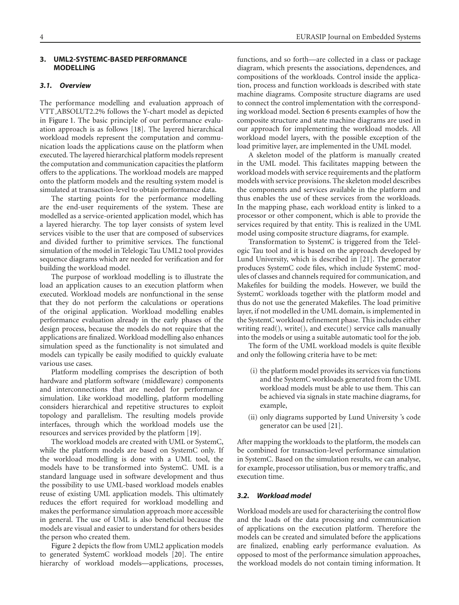# **3. UML2-SYSTEMC-BASED PERFORMANCE MODELLING**

#### *3.1. Overview*

The performance modelling and evaluation approach of VTT ABSOLUT2.2% follows the Y-chart model as depicted in Figure 1. The basic principle of our performance evaluation approach is as follows [18]. The layered hierarchical workload models represent the computation and communication loads the applications cause on the platform when executed. The layered hierarchical platform models represent the computation and communication capacities the platform offers to the applications. The workload models are mapped onto the platform models and the resulting system model is simulated at transaction-level to obtain performance data.

The starting points for the performance modelling are the end-user requirements of the system. These are modelled as a service-oriented application model, which has a layered hierarchy. The top layer consists of system level services visible to the user that are composed of subservices and divided further to primitive services. The functional simulation of the model in Telelogic Tau UML2 tool provides sequence diagrams which are needed for verification and for building the workload model.

The purpose of workload modelling is to illustrate the load an application causes to an execution platform when executed. Workload models are nonfunctional in the sense that they do not perform the calculations or operations of the original application. Workload modelling enables performance evaluation already in the early phases of the design process, because the models do not require that the applications are finalized. Workload modelling also enhances simulation speed as the functionality is not simulated and models can typically be easily modified to quickly evaluate various use cases.

Platform modelling comprises the description of both hardware and platform software (middleware) components and interconnections that are needed for performance simulation. Like workload modelling, platform modelling considers hierarchical and repetitive structures to exploit topology and parallelism. The resulting models provide interfaces, through which the workload models use the resources and services provided by the platform [19].

The workload models are created with UML or SystemC, while the platform models are based on SystemC only. If the workload modelling is done with a UML tool, the models have to be transformed into SystemC. UML is a standard language used in software development and thus the possibility to use UML-based workload models enables reuse of existing UML application models. This ultimately reduces the effort required for workload modelling and makes the performance simulation approach more accessible in general. The use of UML is also beneficial because the models are visual and easier to understand for others besides the person who created them.

Figure 2 depicts the flow from UML2 application models to generated SystemC workload models [20]. The entire hierarchy of workload models—applications, processes,

functions, and so forth—are collected in a class or package diagram, which presents the associations, dependences, and compositions of the workloads. Control inside the application, process and function workloads is described with state machine diagrams. Composite structure diagrams are used to connect the control implementation with the corresponding workload model. Section 6 presents examples of how the composite structure and state machine diagrams are used in our approach for implementing the workload models. All workload model layers, with the possible exception of the load primitive layer, are implemented in the UML model.

A skeleton model of the platform is manually created in the UML model. This facilitates mapping between the workload models with service requirements and the platform models with service provisions. The skeleton model describes the components and services available in the platform and thus enables the use of these services from the workloads. In the mapping phase, each workload entity is linked to a processor or other component, which is able to provide the services required by that entity. This is realized in the UML model using composite structure diagrams, for example.

Transformation to SystemC is triggered from the Telelogic Tau tool and it is based on the approach developed by Lund University, which is described in [21]. The generator produces SystemC code files, which include SystemC modules of classes and channels required for communication, and Makefiles for building the models. However, we build the SystemC workloads together with the platform model and thus do not use the generated Makefiles. The load primitive layer, if not modelled in the UML domain, is implemented in the SystemC workload refinement phase. This includes either writing read(), write(), and execute() service calls manually into the models or using a suitable automatic tool for the job.

The form of the UML workload models is quite flexible and only the following criteria have to be met:

- (i) the platform model provides its services via functions and the SystemC workloads generated from the UML workload models must be able to use them. This can be achieved via signals in state machine diagrams, for example,
- (ii) only diagrams supported by Lund University 's code generator can be used [21].

After mapping the workloads to the platform, the models can be combined for transaction-level performance simulation in SystemC. Based on the simulation results, we can analyse, for example, processor utilisation, bus or memory traffic, and execution time.

#### *3.2. Workload model*

Workload models are used for characterising the control flow and the loads of the data processing and communication of applications on the execution platform. Therefore the models can be created and simulated before the applications are finalized, enabling early performance evaluation. As opposed to most of the performance simulation approaches, the workload models do not contain timing information. It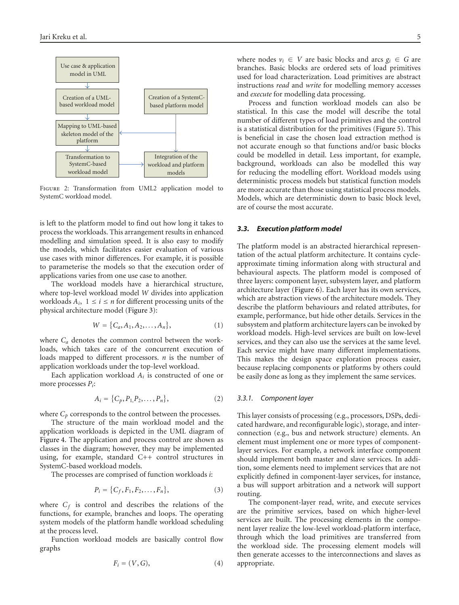

FIGURE 2: Transformation from UML2 application model to SystemC workload model.

is left to the platform model to find out how long it takes to process the workloads. This arrangement results in enhanced modelling and simulation speed. It is also easy to modify the models, which facilitates easier evaluation of various use cases with minor differences. For example, it is possible to parameterise the models so that the execution order of applications varies from one use case to another.

The workload models have a hierarchical structure, where top-level workload model *W* divides into application workloads  $A_i$ ,  $1 \le i \le n$  for different processing units of the physical architecture model (Figure 3):

$$
W = \{C_a, A_1, A_2, \dots, A_n\},\tag{1}
$$

where *Ca* denotes the common control between the workloads, which takes care of the concurrent execution of loads mapped to different processors. *n* is the number of application workloads under the top-level workload.

Each application workload *Ai* is constructed of one or more processes *Pi*:

$$
A_i = \{C_p, P_1, P_2, \dots, P_n\},\tag{2}
$$

where  $C_p$  corresponds to the control between the processes.

The structure of the main workload model and the application workloads is depicted in the UML diagram of Figure 4. The application and process control are shown as classes in the diagram; however, they may be implemented using, for example, standard C++ control structures in SystemC-based workload models.

The processes are comprised of function workloads *i*:

$$
P_i = \{C_f, F_1, F_2, \dots, F_n\},\tag{3}
$$

where  $C_f$  is control and describes the relations of the functions, for example, branches and loops. The operating system models of the platform handle workload scheduling at the process level.

Function workload models are basically control flow graphs

$$
F_i = (V, G), \tag{4}
$$

where nodes  $v_i \in V$  are basic blocks and arcs  $g_i \in G$  are branches. Basic blocks are ordered sets of load primitives used for load characterization. Load primitives are abstract instructions *read* and *write* for modelling memory accesses and *execute* for modelling data processing.

Process and function workload models can also be statistical. In this case the model will describe the total number of different types of load primitives and the control is a statistical distribution for the primitives (Figure 5). This is beneficial in case the chosen load extraction method is not accurate enough so that functions and/or basic blocks could be modelled in detail. Less important, for example, background, workloads can also be modelled this way for reducing the modelling effort. Workload models using deterministic process models but statistical function models are more accurate than those using statistical process models. Models, which are deterministic down to basic block level, are of course the most accurate.

#### *3.3. Execution platform model*

The platform model is an abstracted hierarchical representation of the actual platform architecture. It contains cycleapproximate timing information along with structural and behavioural aspects. The platform model is composed of three layers: component layer, subsystem layer, and platform architecture layer (Figure 6). Each layer has its own services, which are abstraction views of the architecture models. They describe the platform behaviours and related attributes, for example, performance, but hide other details. Services in the subsystem and platform architecture layers can be invoked by workload models. High-level services are built on low-level services, and they can also use the services at the same level. Each service might have many different implementations. This makes the design space exploration process easier, because replacing components or platforms by others could be easily done as long as they implement the same services.

# *3.3.1. Component layer*

This layer consists of processing (e.g., processors, DSPs, dedicated hardware, and reconfigurable logic), storage, and interconnection (e.g., bus and network structure) elements. An element must implement one or more types of componentlayer services. For example, a network interface component should implement both master and slave services. In addition, some elements need to implement services that are not explicitly defined in component-layer services, for instance, a bus will support arbitration and a network will support routing.

The component-layer read, write, and execute services are the primitive services, based on which higher-level services are built. The processing elements in the component layer realize the low-level workload-platform interface, through which the load primitives are transferred from the workload side. The processing element models will then generate accesses to the interconnections and slaves as appropriate.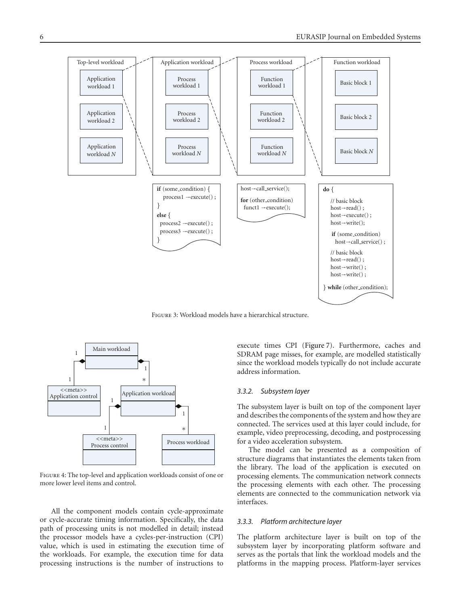

Figure 3: Workload models have a hierarchical structure.



Figure 4: The top-level and application workloads consist of one or more lower level items and control.

All the component models contain cycle-approximate or cycle-accurate timing information. Specifically, the data path of processing units is not modelled in detail; instead the processor models have a cycles-per-instruction (CPI) value, which is used in estimating the execution time of the workloads. For example, the execution time for data processing instructions is the number of instructions to

execute times CPI (Figure 7). Furthermore, caches and SDRAM page misses, for example, are modelled statistically since the workload models typically do not include accurate address information.

### *3.3.2. Subsystem layer*

The subsystem layer is built on top of the component layer and describes the components of the system and how they are connected. The services used at this layer could include, for example, video preprocessing, decoding, and postprocessing for a video acceleration subsystem.

The model can be presented as a composition of structure diagrams that instantiates the elements taken from the library. The load of the application is executed on processing elements. The communication network connects the processing elements with each other. The processing elements are connected to the communication network via interfaces.

#### *3.3.3. Platform architecture layer*

The platform architecture layer is built on top of the subsystem layer by incorporating platform software and serves as the portals that link the workload models and the platforms in the mapping process. Platform-layer services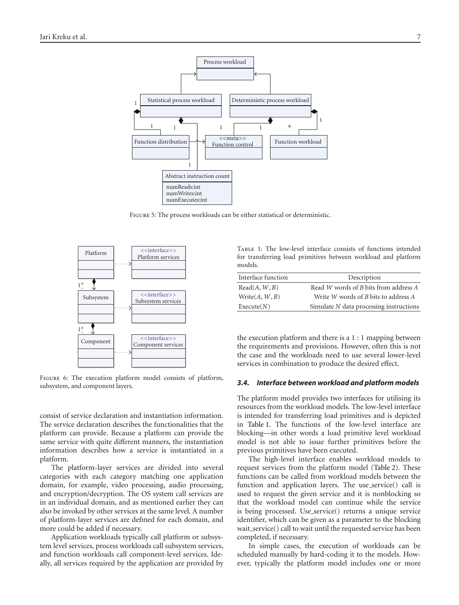

Figure 5: The process workloads can be either statistical or deterministic.



FIGURE 6: The execution platform model consists of platform, subsystem, and component layers.

consist of service declaration and instantiation information. The service declaration describes the functionalities that the platform can provide. Because a platform can provide the same service with quite different manners, the instantiation information describes how a service is instantiated in a platform.

The platform-layer services are divided into several categories with each category matching one application domain, for example, video processing, audio processing, and encryption/decryption. The OS system call services are in an individual domain, and as mentioned earlier they can also be invoked by other services at the same level. A number of platform-layer services are defined for each domain, and more could be added if necessary.

Application workloads typically call platform or subsystem level services, process workloads call subsystem services, and function workloads call component-level services. Ideally, all services required by the application are provided by

Table 1: The low-level interface consists of functions intended for transferring load primitives between workload and platform models.

| Interface function | Description                              |
|--------------------|------------------------------------------|
| Read(A, W, B)      | Read W words of B bits from address A    |
| Write(A, W, B)     | Write W words of $B$ bits to address $A$ |
| Execute(N)         | Simulate N data processing instructions  |

the execution platform and there is a 1 : 1 mapping between the requirements and provisions. However, often this is not the case and the workloads need to use several lower-level services in combination to produce the desired effect.

# *3.4. Interface between workload and platform models*

The platform model provides two interfaces for utilising its resources from the workload models. The low-level interface is intended for transferring load primitives and is depicted in Table 1. The functions of the low-level interface are blocking—in other words a load primitive level workload model is not able to issue further primitives before the previous primitives have been executed.

The high-level interface enables workload models to request services from the platform model (Table 2). These functions can be called from workload models between the function and application layers. The use\_service() call is used to request the given service and it is nonblocking so that the workload model can continue while the service is being processed. Use service() returns a unique service identifier, which can be given as a parameter to the blocking wait\_service() call to wait until the requested service has been completed, if necessary.

In simple cases, the execution of workloads can be scheduled manually by hard-coding it to the models. However, typically the platform model includes one or more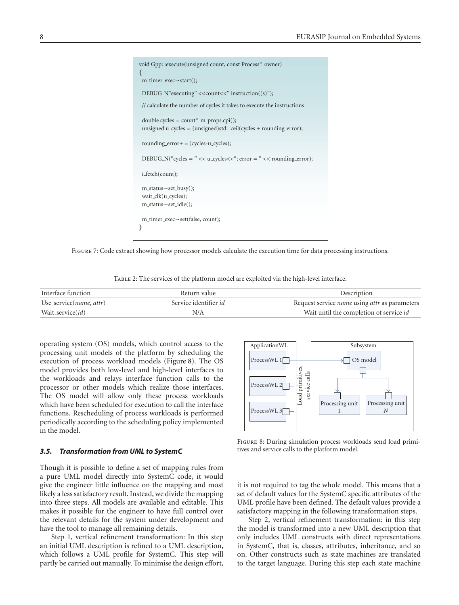| void Gpp: :execute(unsigned count, const Process* owner)<br>₹            |
|--------------------------------------------------------------------------|
| m_timer_exec $\rightarrow$ start();                                      |
| DEBUG_N"executing" << count<<" instruction $((s)$ ");                    |
| // calculate the number of cycles it takes to execute the instructions   |
| double cycles = $count^*$ m_props.cpi();                                 |
| unsigned u_cycles = $(unsigned) std:$ :ceil $(cycles + rounding_error);$ |
| rounding_error+ = $(cycles-u_cycles)$ ;                                  |
| DEBUG_N("cycles = " << $u$ _cycles << "; error = " << rounding error);   |
| i_fetch(count);                                                          |
| m_status $\rightarrow$ set_busy();                                       |
| wait_clk(u_cycles);                                                      |
| $m\_status \rightarrow set\_idle();$                                     |
| m_timer_exec $\rightarrow$ set(false, count);                            |
| ł                                                                        |

FIGURE 7: Code extract showing how processor models calculate the execution time for data processing instructions.

Table 2: The services of the platform model are exploited via the high-level interface.

| Interface function                       | Return value                 | Description                                                 |
|------------------------------------------|------------------------------|-------------------------------------------------------------|
| Use_service( <i>name</i> , <i>attr</i> ) | Service identifier <i>id</i> | Request service <i>name</i> using <i>attr</i> as parameters |
| Wait_service( <i>id</i> )                | N/A                          | Wait until the completion of service id                     |

operating system (OS) models, which control access to the processing unit models of the platform by scheduling the execution of process workload models (Figure 8). The OS model provides both low-level and high-level interfaces to the workloads and relays interface function calls to the processor or other models which realize those interfaces. The OS model will allow only these process workloads which have been scheduled for execution to call the interface functions. Rescheduling of process workloads is performed periodically according to the scheduling policy implemented in the model.

#### *3.5. Transformation from UML to SystemC*

Though it is possible to define a set of mapping rules from a pure UML model directly into SystemC code, it would give the engineer little influence on the mapping and most likely a less satisfactory result. Instead, we divide the mapping into three steps. All models are available and editable. This makes it possible for the engineer to have full control over the relevant details for the system under development and have the tool to manage all remaining details.

Step 1, vertical refinement transformation: In this step an initial UML description is refined to a UML description, which follows a UML profile for SystemC. This step will partly be carried out manually. To minimise the design effort,



Figure 8: During simulation process workloads send load primitives and service calls to the platform model.

it is not required to tag the whole model. This means that a set of default values for the SystemC specific attributes of the UML profile have been defined. The default values provide a satisfactory mapping in the following transformation steps.

Step 2, vertical refinement transformation: in this step the model is transformed into a new UML description that only includes UML constructs with direct representations in SystemC, that is, classes, attributes, inheritance, and so on. Other constructs such as state machines are translated to the target language. During this step each state machine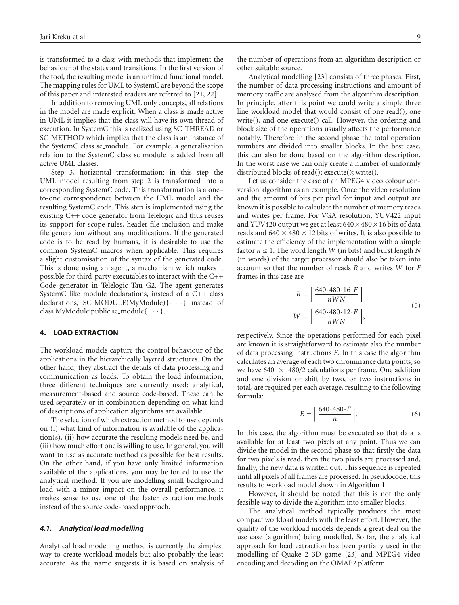is transformed to a class with methods that implement the behaviour of the states and transitions. In the first version of the tool, the resulting model is an untimed functional model. The mapping rules for UML to SystemC are beyond the scope of this paper and interested readers are referred to [21, 22].

In addition to removing UML only concepts, all relations in the model are made explicit. When a class is made active in UML it implies that the class will have its own thread of execution. In SystemC this is realized using SC THREAD or SC METHOD which implies that the class is an instance of the SystemC class sc module. For example, a generalisation relation to the SystemC class sc module is added from all active UML classes.

Step 3, horizontal transformation: in this step the UML model resulting from step 2 is transformed into a corresponding SystemC code. This transformation is a one– to-one correspondence between the UML model and the resulting SystemC code. This step is implemented using the existing C++ code generator from Telelogic and thus reuses its support for scope rules, header-file inclusion and make file generation without any modifications. If the generated code is to be read by humans, it is desirable to use the common SystemC macros when applicable. This requires a slight customisation of the syntax of the generated code. This is done using an agent, a mechanism which makes it possible for third-party executables to interact with the C++ Code generator in Telelogic Tau G2. The agent generates SystemC like module declarations, instead of a C++ class declarations, SC MODULE(MyModule){· · ·} instead of class MyModule: public sc\_module { $\cdots$  }.

#### **4. LOAD EXTRACTION**

The workload models capture the control behaviour of the applications in the hierarchically layered structures. On the other hand, they abstract the details of data processing and communication as loads. To obtain the load information, three different techniques are currently used: analytical, measurement-based and source code-based. These can be used separately or in combination depending on what kind of descriptions of application algorithms are available.

The selection of which extraction method to use depends on (i) what kind of information is available of the applica- $\text{tion}(s)$ , (ii) how accurate the resulting models need be, and (iii) how much effort one is willing to use. In general, you will want to use as accurate method as possible for best results. On the other hand, if you have only limited information available of the applications, you may be forced to use the analytical method. If you are modelling small background load with a minor impact on the overall performance, it makes sense to use one of the faster extraction methods instead of the source code-based approach.

#### *4.1. Analytical load modelling*

Analytical load modelling method is currently the simplest way to create workload models but also probably the least accurate. As the name suggests it is based on analysis of the number of operations from an algorithm description or other suitable source.

Analytical modelling [23] consists of three phases. First, the number of data processing instructions and amount of memory traffic are analysed from the algorithm description. In principle, after this point we could write a simple three line workload model that would consist of one read(), one write(), and one execute() call. However, the ordering and block size of the operations usually affects the performance notably. Therefore in the second phase the total operation numbers are divided into smaller blocks. In the best case, this can also be done based on the algorithm description. In the worst case we can only create a number of uniformly distributed blocks of read(); execute(); write().

Let us consider the case of an MPEG4 video colour conversion algorithm as an example. Once the video resolution and the amount of bits per pixel for input and output are known it is possible to calculate the number of memory reads and writes per frame. For VGA resolution, YUV422 input and YUV420 output we get at least  $640 \times 480 \times 16$  bits of data reads and  $640 \times 480 \times 12$  bits of writes. It is also possible to estimate the efficiency of the implementation with a simple factor  $n \leq 1$ . The word length *W* (in bits) and burst length *N* (in words) of the target processor should also be taken into account so that the number of reads *R* and writes *W* for *F* frames in this case are

$$
R = \left\lceil \frac{640.480.16 \cdot F}{nWN} \right\rceil
$$
  

$$
W = \left\lceil \frac{640.480.12 \cdot F}{nWN} \right\rceil,
$$
 (5)

respectively. Since the operations performed for each pixel are known it is straightforward to estimate also the number of data processing instructions *E*. In this case the algorithm calculates an average of each two chrominance data points, so we have  $640 \times 480/2$  calculations per frame. One addition and one division or shift by two, or two instructions in total, are required per each average, resulting to the following formula:

$$
E = \left\lceil \frac{640 \cdot 480 \cdot F}{n} \right\rceil. \tag{6}
$$

In this case, the algorithm must be executed so that data is available for at least two pixels at any point. Thus we can divide the model in the second phase so that firstly the data for two pixels is read, then the two pixels are processed and, finally, the new data is written out. This sequence is repeated until all pixels of all frames are processed. In pseudocode, this results to workload model shown in Algorithm 1.

However, it should be noted that this is not the only feasible way to divide the algorithm into smaller blocks.

The analytical method typically produces the most compact workload models with the least effort. However, the quality of the workload models depends a great deal on the use case (algorithm) being modelled. So far, the analytical approach for load extraction has been partially used in the modelling of Quake 2 3D game [23] and MPEG4 video encoding and decoding on the OMAP2 platform.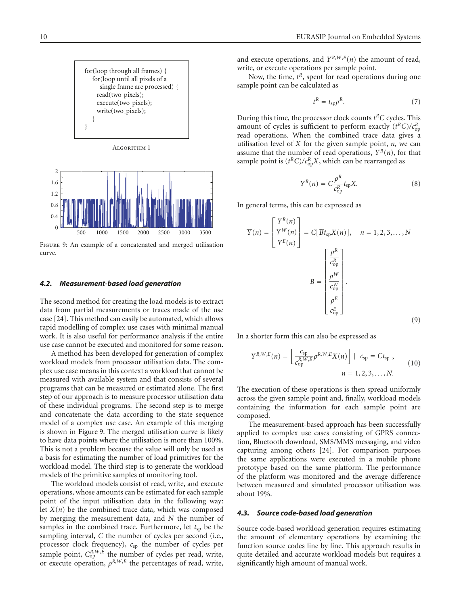

ALGORITHM 1



Figure 9: An example of a concatenated and merged utilisation curve.

#### *4.2. Measurement-based load generation*

The second method for creating the load models is to extract data from partial measurements or traces made of the use case [24]. This method can easily be automated, which allows rapid modelling of complex use cases with minimal manual work. It is also useful for performance analysis if the entire use case cannot be executed and monitored for some reason.

A method has been developed for generation of complex workload models from processor utilisation data. The complex use case means in this context a workload that cannot be measured with available system and that consists of several programs that can be measured or estimated alone. The first step of our approach is to measure processor utilisation data of these individual programs. The second step is to merge and concatenate the data according to the state sequence model of a complex use case. An example of this merging is shown in Figure 9. The merged utilisation curve is likely to have data points where the utilisation is more than 100%. This is not a problem because the value will only be used as a basis for estimating the number of load primitives for the workload model. The third step is to generate the workload models of the primitive samples of monitoring tool.

The workload models consist of read, write, and execute operations, whose amounts can be estimated for each sample point of the input utilisation data in the following way: let  $X(n)$  be the combined trace data, which was composed by merging the measurement data, and *N* the number of samples in the combined trace. Furthermore, let  $t_{sp}$  be the sampling interval, *C* the number of cycles per second (i.e., processor clock frequency), *c*sp the number of cycles per sample point,  $C_{op}^{R,W,E}$  the number of cycles per read, write, or execute operation,  $\rho^{R,W,E}$  the percentages of read, write,

and execute operations, and  $Y^{R,W,E}(n)$  the amount of read, write, or execute operations per sample point.

Now, the time,  $t^R$ , spent for read operations during one sample point can be calculated as

$$
t^R = t_{sp} \rho^R. \tag{7}
$$

During this time, the processor clock counts *tRC* cycles. This amount of cycles is sufficient to perform exactly  $(t^RC)/c_{\text{op}}^R$ read operations. When the combined trace data gives a utilisation level of *X* for the given sample point, *n*, we can assume that the number of read operations,  $Y^R(n)$ , for that sample point is  $(t^R C)/c_{op}^R X$ , which can be rearranged as

$$
Y^{R}(n) = C \frac{\rho^{R}}{c_{\text{op}}^{R}} t_{\text{sp}} X. \tag{8}
$$

In general terms, this can be expressed as

$$
\overline{Y}(n) = \begin{bmatrix} Y^{R}(n) \\ Y^{W}(n) \\ Y^{E}(n) \end{bmatrix} = C[\overline{B}t_{sp}X(n)], \quad n = 1, 2, 3, ..., N
$$
\n
$$
\overline{B} = \begin{bmatrix} \frac{\rho^{R}}{c_{op}^{R}} \\ \frac{\rho^{W}}{c_{op}^{W}} \\ \frac{\rho^{E}}{c_{op}^{E}} \end{bmatrix}.
$$
\n(9)

In a shorter form this can also be expressed as

$$
Y^{R,W,E}(n) = \left\lfloor \frac{c_{\text{sp}}}{c_{\text{op}}^{R,W,E}} \rho^{R,W,E} X(n) \right\rfloor \mid c_{\text{sp}} = C t_{\text{sp}} ,
$$
  
\n
$$
n = 1, 2, 3, ..., N.
$$
\n(10)

The execution of these operations is then spread uniformly across the given sample point and, finally, workload models containing the information for each sample point are composed.

The measurement-based approach has been successfully applied to complex use cases consisting of GPRS connection, Bluetooth download, SMS/MMS messaging, and video capturing among others [24]. For comparison purposes the same applications were executed in a mobile phone prototype based on the same platform. The performance of the platform was monitored and the average difference between measured and simulated processor utilisation was about 19%.

### *4.3. Source code-based load generation*

Source code-based workload generation requires estimating the amount of elementary operations by examining the function source codes line by line. This approach results in quite detailed and accurate workload models but requires a significantly high amount of manual work.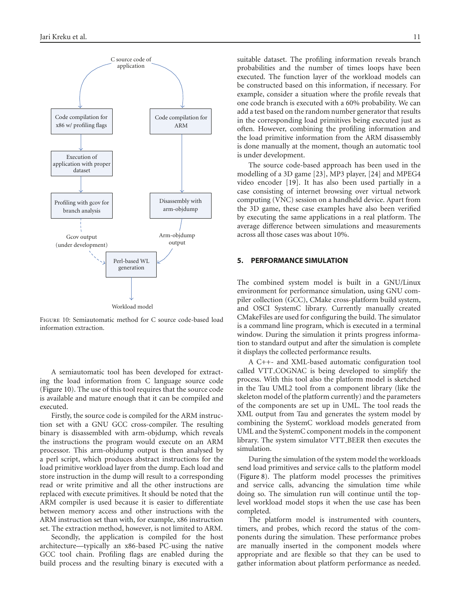

Figure 10: Semiautomatic method for C source code-based load information extraction.

A semiautomatic tool has been developed for extracting the load information from C language source code (Figure 10). The use of this tool requires that the source code is available and mature enough that it can be compiled and executed.

Firstly, the source code is compiled for the ARM instruction set with a GNU GCC cross-compiler. The resulting binary is disassembled with arm-objdump, which reveals the instructions the program would execute on an ARM processor. This arm-objdump output is then analysed by a perl script, which produces abstract instructions for the load primitive workload layer from the dump. Each load and store instruction in the dump will result to a corresponding read or write primitive and all the other instructions are replaced with execute primitives. It should be noted that the ARM compiler is used because it is easier to differentiate between memory access and other instructions with the ARM instruction set than with, for example, x86 instruction set. The extraction method, however, is not limited to ARM.

Secondly, the application is compiled for the host architecture—typically an x86-based PC-using the native GCC tool chain. Profiling flags are enabled during the build process and the resulting binary is executed with a suitable dataset. The profiling information reveals branch probabilities and the number of times loops have been executed. The function layer of the workload models can be constructed based on this information, if necessary. For example, consider a situation where the profile reveals that one code branch is executed with a 60% probability. We can add a test based on the random number generator that results in the corresponding load primitives being executed just as often. However, combining the profiling information and the load primitive information from the ARM disassembly is done manually at the moment, though an automatic tool is under development.

The source code-based approach has been used in the modelling of a 3D game [23], MP3 player, [24] and MPEG4 video encoder [19]. It has also been used partially in a case consisting of internet browsing over virtual network computing (VNC) session on a handheld device. Apart from the 3D game, these case examples have also been verified by executing the same applications in a real platform. The average difference between simulations and measurements across all those cases was about 10%.

# **5. PERFORMANCE SIMULATION**

The combined system model is built in a GNU/Linux environment for performance simulation, using GNU compiler collection (GCC), CMake cross-platform build system, and OSCI SystemC library. Currently manually created CMakeFiles are used for configuring the build. The simulator is a command line program, which is executed in a terminal window. During the simulation it prints progress information to standard output and after the simulation is complete it displays the collected performance results.

A C++- and XML-based automatic configuration tool called VTT COGNAC is being developed to simplify the process. With this tool also the platform model is sketched in the Tau UML2 tool from a component library (like the skeleton model of the platform currently) and the parameters of the components are set up in UML. The tool reads the XML output from Tau and generates the system model by combining the SystemC workload models generated from UML and the SystemC component models in the component library. The system simulator VTT BEER then executes the simulation.

During the simulation of the system model the workloads send load primitives and service calls to the platform model (Figure 8). The platform model processes the primitives and service calls, advancing the simulation time while doing so. The simulation run will continue until the toplevel workload model stops it when the use case has been completed.

The platform model is instrumented with counters, timers, and probes, which record the status of the components during the simulation. These performance probes are manually inserted in the component models where appropriate and are flexible so that they can be used to gather information about platform performance as needed.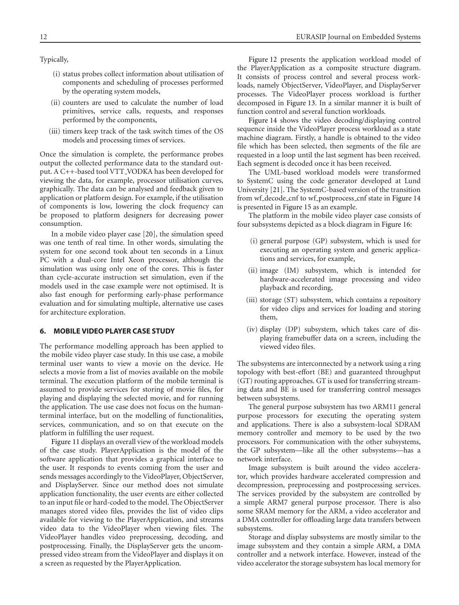Typically,

- (i) status probes collect information about utilisation of components and scheduling of processes performed by the operating system models,
- (ii) counters are used to calculate the number of load primitives, service calls, requests, and responses performed by the components,
- (iii) timers keep track of the task switch times of the OS models and processing times of services.

Once the simulation is complete, the performance probes output the collected performance data to the standard output. A C++-based tool VTT VODKA has been developed for viewing the data, for example, processor utilisation curves, graphically. The data can be analysed and feedback given to application or platform design. For example, if the utilisation of components is low, lowering the clock frequency can be proposed to platform designers for decreasing power consumption.

In a mobile video player case [20], the simulation speed was one tenth of real time. In other words, simulating the system for one second took about ten seconds in a Linux PC with a dual-core Intel Xeon processor, although the simulation was using only one of the cores. This is faster than cycle-accurate instruction set simulation, even if the models used in the case example were not optimised. It is also fast enough for performing early-phase performance evaluation and for simulating multiple, alternative use cases for architecture exploration.

# **6. MOBILE VIDEO PLAYER CASE STUDY**

The performance modelling approach has been applied to the mobile video player case study. In this use case, a mobile terminal user wants to view a movie on the device. He selects a movie from a list of movies available on the mobile terminal. The execution platform of the mobile terminal is assumed to provide services for storing of movie files, for playing and displaying the selected movie, and for running the application. The use case does not focus on the humanterminal interface, but on the modelling of functionalities, services, communication, and so on that execute on the platform in fulfilling the user request.

Figure 11 displays an overall view of the workload models of the case study. PlayerApplication is the model of the software application that provides a graphical interface to the user. It responds to events coming from the user and sends messages accordingly to the VideoPlayer, ObjectServer, and DisplayServer. Since our method does not simulate application functionality, the user events are either collected to an input file or hard-coded to the model. The ObjectServer manages stored video files, provides the list of video clips available for viewing to the PlayerApplication, and streams video data to the VideoPlayer when viewing files. The VideoPlayer handles video preprocessing, decoding, and postprocessing. Finally, the DisplayServer gets the uncompressed video stream from the VideoPlayer and displays it on a screen as requested by the PlayerApplication.

Figure 12 presents the application workload model of the PlayerApplication as a composite structure diagram. It consists of process control and several process workloads, namely ObjectServer, VideoPlayer, and DisplayServer processes. The VideoPlayer process workload is further decomposed in Figure 13. In a similar manner it is built of function control and several function workloads.

Figure 14 shows the video decoding/displaying control sequence inside the VideoPlayer process workload as a state machine diagram. Firstly, a handle is obtained to the video file which has been selected, then segments of the file are requested in a loop until the last segment has been received. Each segment is decoded once it has been received.

The UML-based workload models were transformed to SystemC using the code generator developed at Lund University [21]. The SystemC-based version of the transition from wf\_decode\_cnf to wf\_postprocess\_cnf state in Figure 14 is presented in Figure 15 as an example.

The platform in the mobile video player case consists of four subsystems depicted as a block diagram in Figure 16:

- (i) general purpose (GP) subsystem, which is used for executing an operating system and generic applications and services, for example,
- (ii) image (IM) subsystem, which is intended for hardware-accelerated image processing and video playback and recording,
- (iii) storage (ST) subsystem, which contains a repository for video clips and services for loading and storing them,
- (iv) display (DP) subsystem, which takes care of displaying framebuffer data on a screen, including the viewed video files.

The subsystems are interconnected by a network using a ring topology with best-effort (BE) and guaranteed throughput (GT) routing approaches. GT is used for transferring streaming data and BE is used for transferring control messages between subsystems.

The general purpose subsystem has two ARM11 general purpose processors for executing the operating system and applications. There is also a subsystem-local SDRAM memory controller and memory to be used by the two processors. For communication with the other subsystems, the GP subsystem—like all the other subsystems—has a network interface.

Image subsystem is built around the video accelerator, which provides hardware accelerated compression and decompression, preprocessing and postprocessing services. The services provided by the subsystem are controlled by a simple ARM7 general purpose processor. There is also some SRAM memory for the ARM, a video accelerator and a DMA controller for offloading large data transfers between subsystems.

Storage and display subsystems are mostly similar to the image subsystem and they contain a simple ARM, a DMA controller and a network interface. However, instead of the video accelerator the storage subsystem has local memory for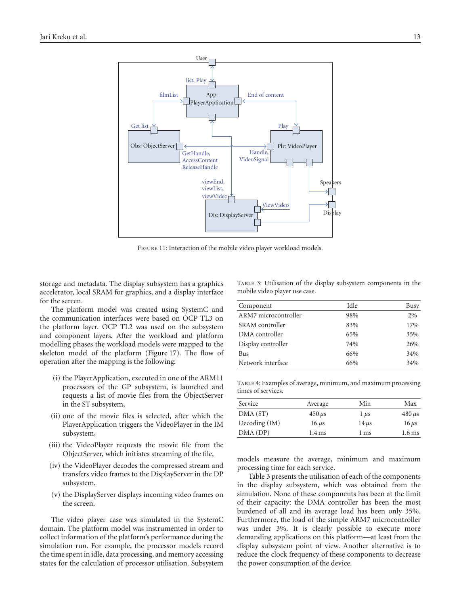

Figure 11: Interaction of the mobile video player workload models.

storage and metadata. The display subsystem has a graphics accelerator, local SRAM for graphics, and a display interface for the screen.

The platform model was created using SystemC and the communication interfaces were based on OCP TL3 on the platform layer. OCP TL2 was used on the subsystem and component layers. After the workload and platform modelling phases the workload models were mapped to the skeleton model of the platform (Figure 17). The flow of operation after the mapping is the following:

- (i) the PlayerApplication, executed in one of the ARM11 processors of the GP subsystem, is launched and requests a list of movie files from the ObjectServer in the ST subsystem,
- (ii) one of the movie files is selected, after which the PlayerApplication triggers the VideoPlayer in the IM subsystem,
- (iii) the VideoPlayer requests the movie file from the ObjectServer, which initiates streaming of the file,
- (iv) the VideoPlayer decodes the compressed stream and transfers video frames to the DisplayServer in the DP subsystem,
- (v) the DisplayServer displays incoming video frames on the screen.

The video player case was simulated in the SystemC domain. The platform model was instrumented in order to collect information of the platform's performance during the simulation run. For example, the processor models record the time spent in idle, data processing, and memory accessing states for the calculation of processor utilisation. Subsystem

Table 3: Utilisation of the display subsystem components in the mobile video player use case.

| Component            | Idle | Busy |
|----------------------|------|------|
| ARM7 microcontroller | 98%  | 2%   |
| SRAM controller      | 83%  | 17%  |
| DMA controller       | 65%  | 35%  |
| Display controller   | 74%  | 26%  |
| <b>Bus</b>           | 66%  | 34%  |
| Network interface    | 66%  | 34%  |
|                      |      |      |

Table 4: Examples of average, minimum, and maximum processing times of services.

| Service       | Average             | Min        | Max                 |
|---------------|---------------------|------------|---------------------|
| DMA(ST)       | $450 \,\mu s$       | $1 \mu s$  | $480 \,\mu s$       |
| Decoding (IM) | $16 \mu s$          | $14 \mu s$ | $16 \mu s$          |
| DMA (DP)      | $1.4 \,\mathrm{ms}$ | 1 ms       | $1.6 \,\mathrm{ms}$ |

models measure the average, minimum and maximum processing time for each service.

Table 3 presents the utilisation of each of the components in the display subsystem, which was obtained from the simulation. None of these components has been at the limit of their capacity: the DMA controller has been the most burdened of all and its average load has been only 35%. Furthermore, the load of the simple ARM7 microcontroller was under 3%. It is clearly possible to execute more demanding applications on this platform—at least from the display subsystem point of view. Another alternative is to reduce the clock frequency of these components to decrease the power consumption of the device.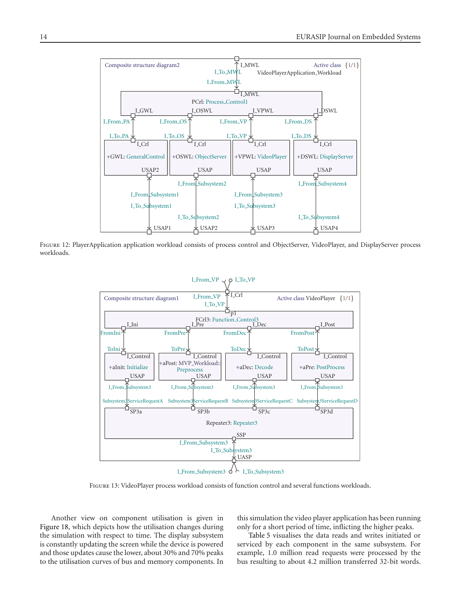

Figure 12: PlayerApplication application workload consists of process control and ObjectServer, VideoPlayer, and DisplayServer process workloads.



Figure 13: VideoPlayer process workload consists of function control and several functions workloads.

Another view on component utilisation is given in Figure 18, which depicts how the utilisation changes during the simulation with respect to time. The display subsystem is constantly updating the screen while the device is powered and those updates cause the lower, about 30% and 70% peaks to the utilisation curves of bus and memory components. In

this simulation the video player application has been running only for a short period of time, inflicting the higher peaks.

Table 5 visualises the data reads and writes initiated or serviced by each component in the same subsystem. For example, 1.0 million read requests were processed by the bus resulting to about 4.2 million transferred 32-bit words.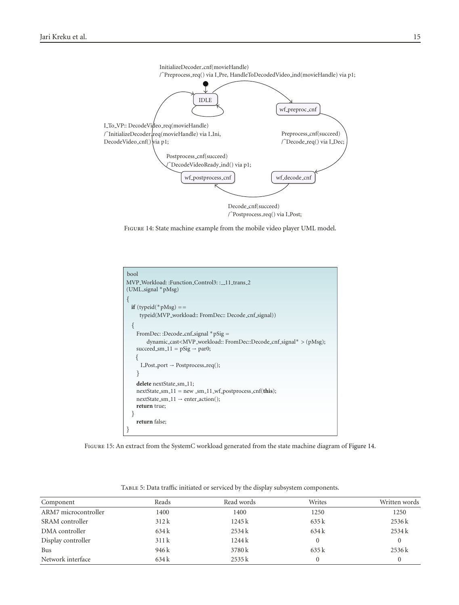

Figure 14: State machine example from the mobile video player UML model.



Figure 15: An extract from the SystemC workload generated from the state machine diagram of Figure 14.

| Component            | Reads | Read words | Writes | Written words |
|----------------------|-------|------------|--------|---------------|
| ARM7 microcontroller | 1400  | 1400       | 1250   | 1250          |
| SRAM controller      | 312k  | 1245k      | 635k   | 2536k         |
| DMA controller       | 634k  | 2534k      | 634k   | 2534k         |
| Display controller   | 311k  | 1244k      |        |               |
| Bus                  | 946 k | 3780 k     | 635k   | 2536k         |
| Network interface    | 634 k | 2535k      |        |               |

Table 5: Data traffic initiated or serviced by the display subsystem components.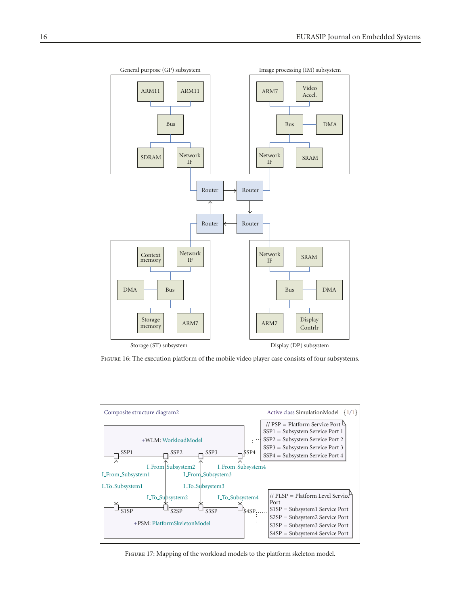

FIGURE 16: The execution platform of the mobile video player case consists of four subsystems.



Figure 17: Mapping of the workload models to the platform skeleton model.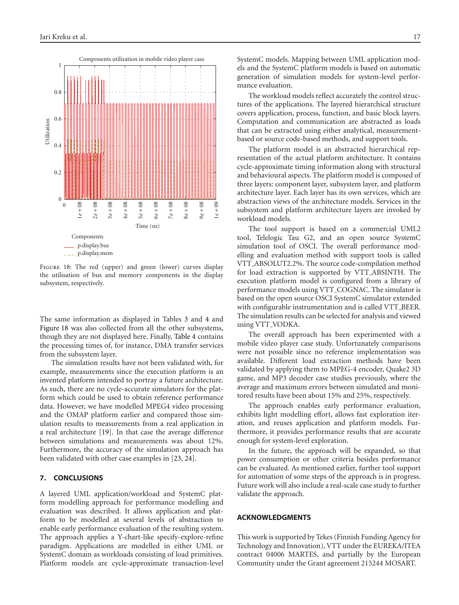

Figure 18: The red (upper) and green (lower) curves display the utilisation of bus and memory components in the display subsystem, respectively.

The same information as displayed in Tables 3 and 4 and Figure 18 was also collected from all the other subsystems, though they are not displayed here. Finally, Table 4 contains the processing times of, for instance, DMA transfer services from the subsystem layer.

The simulation results have not been validated with, for example, measurements since the execution platform is an invented platform intended to portray a future architecture. As such, there are no cycle-accurate simulators for the platform which could be used to obtain reference performance data. However, we have modelled MPEG4 video processing and the OMAP platform earlier and compared those simulation results to measurements from a real application in a real architecture [19]. In that case the average difference between simulations and measurements was about 12%. Furthermore, the accuracy of the simulation approach has been validated with other case examples in [23, 24].

# **7. CONCLUSIONS**

A layered UML application/workload and SystemC platform modelling approach for performance modelling and evaluation was described. It allows application and platform to be modelled at several levels of abstraction to enable early performance evaluation of the resulting system. The approach applies a Y-chart-like specify-explore-refine paradigm. Applications are modelled in either UML or SystemC domain as workloads consisting of load primitives. Platform models are cycle-approximate transaction-level SystemC models. Mapping between UML application models and the SystemC platform models is based on automatic generation of simulation models for system-level performance evaluation.

The workload models reflect accurately the control structures of the applications. The layered hierarchical structure covers application, process, function, and basic block layers. Computation and communication are abstracted as loads that can be extracted using either analytical, measurementbased or source code-based methods, and support tools.

The platform model is an abstracted hierarchical representation of the actual platform architecture. It contains cycle-approximate timing information along with structural and behavioural aspects. The platform model is composed of three layers: component layer, subsystem layer, and platform architecture layer. Each layer has its own services, which are abstraction views of the architecture models. Services in the subsystem and platform architecture layers are invoked by workload models.

The tool support is based on a commercial UML2 tool, Telelogic Tau G2, and an open source SystemC simulation tool of OSCI. The overall performance modelling and evaluation method with support tools is called VTT ABSOLUT2.2%. The source code-compilation method for load extraction is supported by VTT ABSINTH. The execution platform model is configured from a library of performance models using VTT COGNAC. The simulator is based on the open source OSCI SystemC simulator extended with configurable instrumentation and is called VTT\_BEER. The simulation results can be selected for analysis and viewed using VTT VODKA.

The overall approach has been experimented with a mobile video player case study. Unfortunately comparisons were not possible since no reference implementation was available. Different load extraction methods have been validated by applying them to MPEG-4 encoder, Quake2 3D game, and MP3 decoder case studies previously, where the average and maximum errors between simulated and monitored results have been about 15% and 25%, respectively.

The approach enables early performance evaluation, exhibits light modelling effort, allows fast exploration iteration, and reuses application and platform models. Furthermore, it provides performance results that are accurate enough for system-level exploration.

In the future, the approach will be expanded, so that power consumption or other criteria besides performance can be evaluated. As mentioned earlier, further tool support for automation of some steps of the approach is in progress. Future work will also include a real-scale case study to further validate the approach.

#### **ACKNOWLEDGMENTS**

This work is supported by Tekes (Finnish Funding Agency for Technology and Innovation), VTT under the EUREKA/ITEA contract 04006 MARTES, and partially by the European Community under the Grant agreement 215244 MOSART.